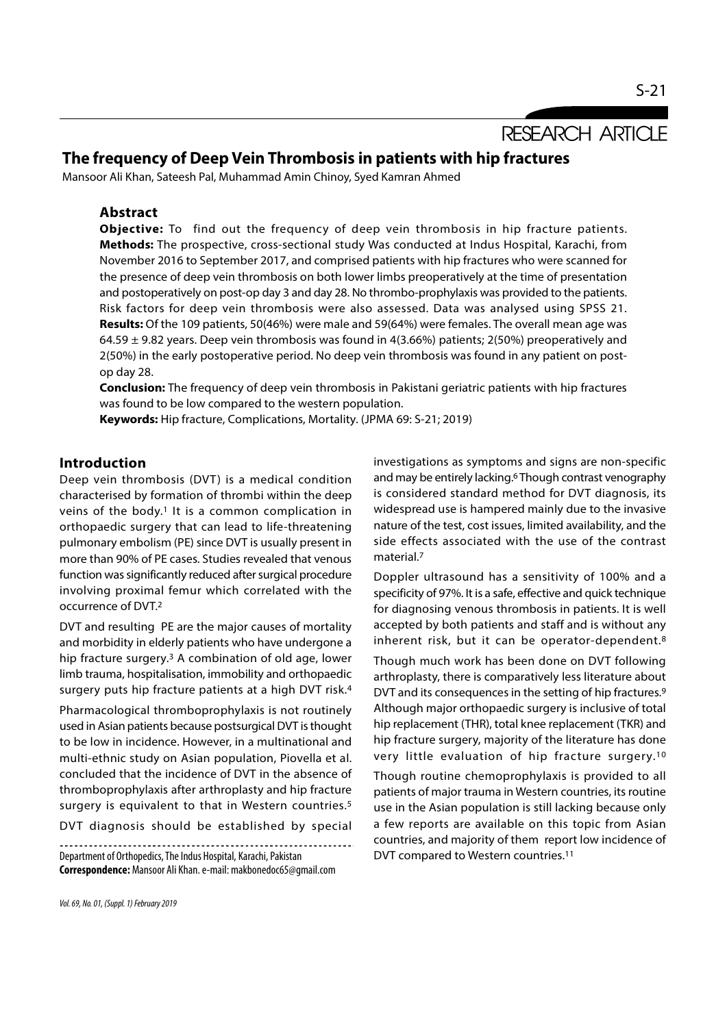RESEARCH ARTICLE

# The frequency of Deep Vein Thrombosis in patients with hip fractures

Mansoor Ali Khan, Sateesh Pal, Muhammad Amin Chinoy, Syed Kamran Ahmed

## Abstract

**Objective:** To find out the frequency of deep vein thrombosis in hip fracture patients. Methods: The prospective, cross-sectional study Was conducted at Indus Hospital, Karachi, from November 2016 to September 2017, and comprised patients with hip fractures who were scanned for the presence of deep vein thrombosis on both lower limbs preoperatively at the time of presentation and postoperatively on post-op day 3 and day 28. No thrombo-prophylaxis was provided to the patients. Risk factors for deep vein thrombosis were also assessed. Data was analysed using SPSS 21. Results: Of the 109 patients, 50(46%) were male and 59(64%) were females. The overall mean age was 64.59 ± 9.82 years. Deep vein thrombosis was found in 4(3.66%) patients; 2(50%) preoperatively and 2(50%) in the early postoperative period. No deep vein thrombosis was found in any patient on postop day 28.

**Conclusion:** The frequency of deep vein thrombosis in Pakistani geriatric patients with hip fractures was found to be low compared to the western population.

Keywords: Hip fracture, Complications, Mortality. (JPMA 69: S-21; 2019)

### Introduction

Deep vein thrombosis (DVT) is a medical condition characterised by formation of thrombi within the deep veins of the body.<sup>1</sup> It is a common complication in orthopaedic surgery that can lead to life-threatening pulmonary embolism (PE) since DVT is usually present in more than 90% of PE cases. Studies revealed that venous function was significantly reduced after surgical procedure involving proximal femur which correlated with the occurrence of DVT.2

DVT and resulting PE are the major causes of mortality and morbidity in elderly patients who have undergone a hip fracture surgery.3 A combination of old age, lower limb trauma, hospitalisation, immobility and orthopaedic surgery puts hip fracture patients at a high DVT risk.4

Pharmacological thromboprophylaxis is not routinely used in Asian patients because postsurgical DVT is thought to be low in incidence. However, in a multinational and multi-ethnic study on Asian population, Piovella et al. concluded that the incidence of DVT in the absence of thromboprophylaxis after arthroplasty and hip fracture surgery is equivalent to that in Western countries.<sup>5</sup>

DVT diagnosis should be established by special 

Department of Orthopedics, The Indus Hospital, Karachi, Pakistan Correspondence: Mansoor Ali Khan. e-mail: makbonedoc65@gmail.com investigations as symptoms and signs are non-specific and may be entirely lacking.6 Though contrast venography is considered standard method for DVT diagnosis, its widespread use is hampered mainly due to the invasive nature of the test, cost issues, limited availability, and the side effects associated with the use of the contrast material<sup>7</sup>

Doppler ultrasound has a sensitivity of 100% and a specificity of 97%. It is a safe, effective and quick technique for diagnosing venous thrombosis in patients. It is well accepted by both patients and staff and is without any inherent risk, but it can be operator-dependent.8

Though much work has been done on DVT following arthroplasty, there is comparatively less literature about DVT and its consequences in the setting of hip fractures.9 Although major orthopaedic surgery is inclusive of total hip replacement (THR), total knee replacement (TKR) and hip fracture surgery, majority of the literature has done very little evaluation of hip fracture surgery.10

Though routine chemoprophylaxis is provided to all patients of major trauma in Western countries, its routine use in the Asian population is still lacking because only a few reports are available on this topic from Asian countries, and majority of them report low incidence of DVT compared to Western countries.11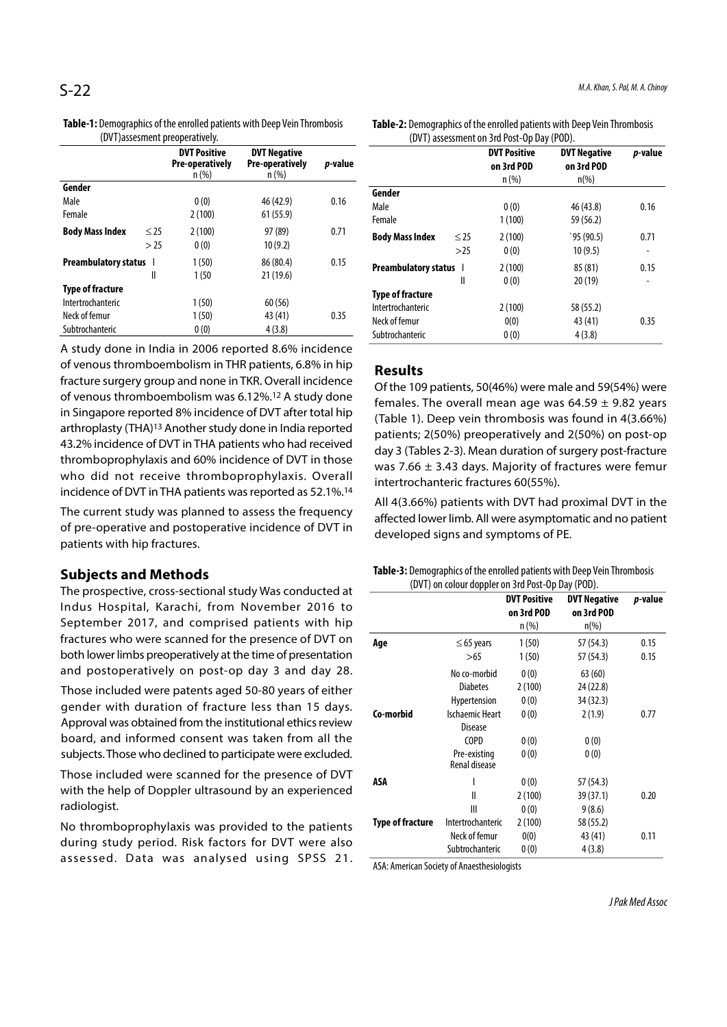| (DVT) assessment preoperatively. |           |                                                |                                                |         |  |  |
|----------------------------------|-----------|------------------------------------------------|------------------------------------------------|---------|--|--|
|                                  |           | <b>DVT Positive</b><br>Pre-operatively<br>n(%) | <b>DVT Negative</b><br>Pre-operatively<br>n(%) | p-value |  |  |
| Gender                           |           |                                                |                                                |         |  |  |
| Male                             |           | 0(0)                                           | 46 (42.9)                                      | 0.16    |  |  |
| Female                           |           | 2(100)                                         | 61(55.9)                                       |         |  |  |
| <b>Body Mass Index</b>           | $\leq$ 25 | 2(100)                                         | 97 (89)                                        | 0.71    |  |  |
|                                  | > 25      | 0(0)                                           | 10(9.2)                                        |         |  |  |
| <b>Preambulatory status</b>      |           | 1(50)                                          | 86 (80.4)                                      | 0.15    |  |  |
|                                  | Ш         | 1(50                                           | 21(19.6)                                       |         |  |  |
| <b>Type of fracture</b>          |           |                                                |                                                |         |  |  |
| Intertrochanteric                |           | 1(50)                                          | 60 (56)                                        |         |  |  |
| Neck of femur                    |           | 1(50)                                          | 43 (41)                                        | 0.35    |  |  |
| Subtrochanteric                  |           | 0(0)                                           | 4(3.8)                                         |         |  |  |

Table-1: Demographics of the enrolled patients with Deep Vein Thrombosis (DVT)assesment preoperatively.

A study done in India in 2006 reported 8.6% incidence of venous thromboembolism in THR patients, 6.8% in hip fracture surgery group and none in TKR. Overall incidence of venous thromboembolism was 6.12%.12 A study done in Singapore reported 8% incidence of DVT after total hip arthroplasty (THA)13 Another study done in India reported 43.2% incidence of DVT in THA patients who had received thromboprophylaxis and 60% incidence of DVT in those who did not receive thromboprophylaxis. Overall incidence of DVT in THA patients was reported as 52.1%.14

The current study was planned to assess the frequency of pre-operative and postoperative incidence of DVT in patients with hip fractures.

#### Subjects and Methods

The prospective, cross-sectional study Was conducted at Indus Hospital, Karachi, from November 2016 to September 2017, and comprised patients with hip fractures who were scanned for the presence of DVT on both lower limbs preoperatively at the time of presentation and postoperatively on post-op day 3 and day 28.

Those included were patents aged 50-80 years of either gender with duration of fracture less than 15 days. Approval was obtained from the institutional ethics review board, and informed consent was taken from all the subjects. Those who declined to participate were excluded.

Those included were scanned for the presence of DVT with the help of Doppler ultrasound by an experienced radiologist.

No thromboprophylaxis was provided to the patients during study period. Risk factors for DVT were also assessed. Data was analysed using SPSS 21.

Table-2: Demographics of the enrolled patients with Deep Vein Thrombosis (DVT) assessment on 3rd Post-Op Day (POD).

| $\frac{1}{2}$               |           |                                   |                                   |         |  |
|-----------------------------|-----------|-----------------------------------|-----------------------------------|---------|--|
|                             |           | <b>DVT Positive</b><br>on 3rd POD | <b>DVT Negative</b><br>on 3rd POD | p-value |  |
|                             |           | $n$ (%)                           | $n\frac{0}{0}$                    |         |  |
| Gender                      |           |                                   |                                   |         |  |
| Male                        |           | 0(0)                              | 46 (43.8)                         | 0.16    |  |
| Female                      |           | 1(100)                            | 59 (56.2)                         |         |  |
| <b>Body Mass Index</b>      | $\leq$ 25 | 2(100)                            | 95(90.5)                          | 0.71    |  |
|                             | >25       | 0(0)                              | 10(9.5)                           | -       |  |
| <b>Preambulatory status</b> |           | 2(100)                            | 85(81)                            | 0.15    |  |
|                             | Ш         | 0(0)                              | 20(19)                            | -       |  |
| <b>Type of fracture</b>     |           |                                   |                                   |         |  |
| Intertrochanteric           |           | 2(100)                            | 58 (55.2)                         |         |  |
| Neck of femur               |           | 0(0)                              | 43 (41)                           | 0.35    |  |
| Subtrochanteric             |           | 0(0)                              | 4(3.8)                            |         |  |

#### Results

Of the 109 patients, 50(46%) were male and 59(54%) were females. The overall mean age was  $64.59 \pm 9.82$  years (Table 1). Deep vein thrombosis was found in 4(3.66%) patients; 2(50%) preoperatively and 2(50%) on post-op day 3 (Tables 2-3). Mean duration of surgery post-fracture was 7.66  $\pm$  3.43 days. Majority of fractures were femur intertrochanteric fractures 60(55%).

All 4(3.66%) patients with DVT had proximal DVT in the affected lower limb. All were asymptomatic and no patient developed signs and symptoms of PE.

| Table-3: Demographics of the enrolled patients with Deep Vein Thrombosis |
|--------------------------------------------------------------------------|
| (DVT) on colour doppler on 3rd Post-Op Day (POD).                        |

|                  |                                                                                          | <b>DVT Positive</b><br>on 3rd POD<br>$n$ (%) | <b>DVT Negative</b><br>on 3rd POD<br>$n\frac{9}{6}$ | p-value      |
|------------------|------------------------------------------------------------------------------------------|----------------------------------------------|-----------------------------------------------------|--------------|
| Age              | $\leq$ 65 years<br>>65                                                                   | 1(50)<br>1(50)                               | 57 (54.3)<br>57 (54.3)                              | 0.15<br>0.15 |
|                  | No co-morbid<br><b>Diabetes</b><br>Hypertension                                          | 0(0)<br>2(100)<br>0(0)                       | 63(60)<br>24 (22.8)<br>34 (32.3)                    |              |
| Co-morbid        | <b>Ischaemic Heart</b><br><b>Disease</b><br><b>COPD</b><br>Pre-existing<br>Renal disease | 0(0)<br>0(0)<br>0(0)                         | 2(1.9)<br>0(0)<br>0(0)                              | 0.77         |
| ASA              | ı<br>$\mathsf{I}$<br>Ш                                                                   | 0(0)<br>2(100)<br>0(0)                       | 57 (54.3)<br>39 (37.1)<br>9(8.6)                    | 0.20         |
| Type of fracture | Intertrochanteric<br>Neck of femur<br>Subtrochanteric                                    | 2(100)<br>0(0)<br>0(0)                       | 58 (55.2)<br>43 (41)<br>4(3.8)                      | 0.11         |

ASA: American Society of Anaesthesiologists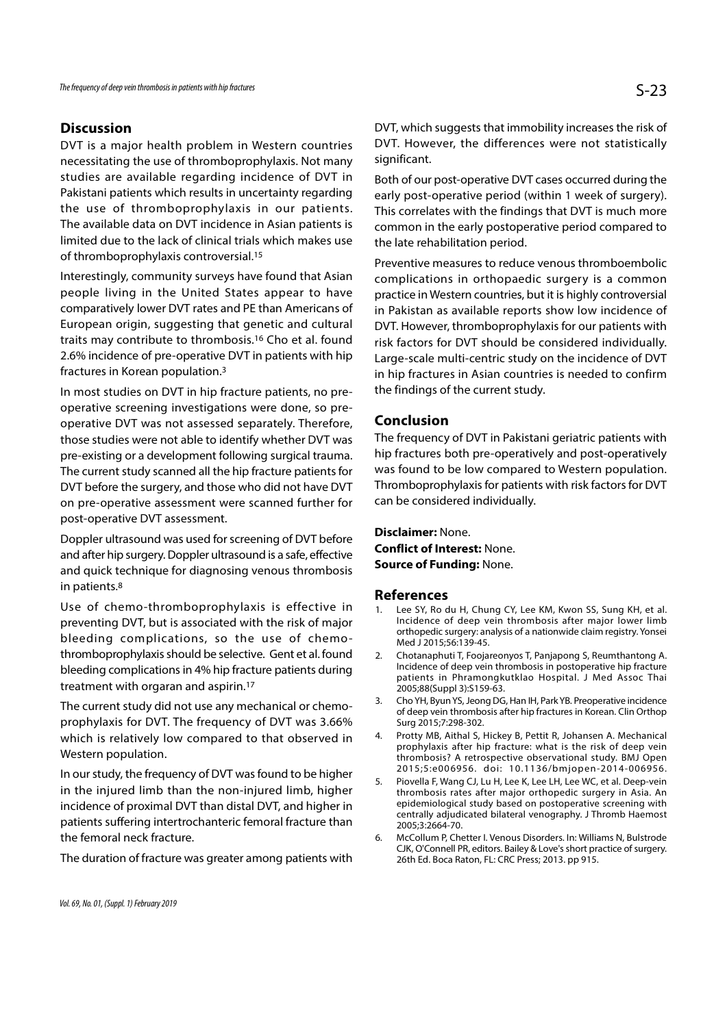### **Discussion**

DVT is a major health problem in Western countries necessitating the use of thromboprophylaxis. Not many studies are available regarding incidence of DVT in Pakistani patients which results in uncertainty regarding the use of thromboprophylaxis in our patients. The available data on DVT incidence in Asian patients is limited due to the lack of clinical trials which makes use of thromboprophylaxis controversial.15

Interestingly, community surveys have found that Asian people living in the United States appear to have comparatively lower DVT rates and PE than Americans of European origin, suggesting that genetic and cultural traits may contribute to thrombosis.16 Cho et al. found 2.6% incidence of pre-operative DVT in patients with hip fractures in Korean population.3

In most studies on DVT in hip fracture patients, no preoperative screening investigations were done, so preoperative DVT was not assessed separately. Therefore, those studies were not able to identify whether DVT was pre-existing or a development following surgical trauma. The current study scanned all the hip fracture patients for DVT before the surgery, and those who did not have DVT on pre-operative assessment were scanned further for post-operative DVT assessment.

Doppler ultrasound was used for screening of DVT before and after hip surgery. Doppler ultrasound is a safe, effective and quick technique for diagnosing venous thrombosis in patients.8

Use of chemo-thromboprophylaxis is effective in the st. Ro du H. Chung CY. Lee KM. Kwon SS. Sung KH. et al. preventing DVT, but is associated with the risk of major bleeding complications, so the use of chemothromboprophylaxis should be selective. Gent et al. found 2. Chotanaphuti T, Foojareonyos T, Panjapong S, Reumthantong A. bleeding complications in 4% hip fracture patients during treatment with orgaran and aspirin.17

The current study did not use any mechanical or chemoprophylaxis for DVT. The frequency of DVT was 3.66% which is relatively low compared to that observed in 4. Protty MB, Aithal S, Hickey B, Pettit R, Johansen A. Mechanical Western population.

In our study, the frequency of DVT was found to be higher 2015;5:e006956. doi: 10.1136/bmjopen-2014-006956.<br>Piovella F. Wang CJ. Lu H. Lee K. Lee LH. Lee WC. et al. Deep-vein in the injured limb than the non-injured limb, higher incidence of proximal DVT than distal DVT, and higher in patients suffering intertrochanteric femoral fracture than the femoral neck fracture.

The duration of fracture was greater among patients with

DVT, which suggests that immobility increases the risk of DVT. However, the differences were not statistically significant.

Both of our post-operative DVT cases occurred during the early post-operative period (within 1 week of surgery). This correlates with the findings that DVT is much more common in the early postoperative period compared to the late rehabilitation period.

Preventive measures to reduce venous thromboembolic complications in orthopaedic surgery is a common practice in Western countries, but it is highly controversial in Pakistan as available reports show low incidence of DVT. However, thromboprophylaxis for our patients with risk factors for DVT should be considered individually. Large-scale multi-centric study on the incidence of DVT in hip fractures in Asian countries is needed to confirm the findings of the current study.

#### Conclusion

The frequency of DVT in Pakistani geriatric patients with hip fractures both pre-operatively and post-operatively was found to be low compared to Western population. Thromboprophylaxis for patients with risk factors for DVT can be considered individually.

Disclaimer: None. Conflict of Interest: None. Source of Funding: None.

#### References

- Was found to be low compared to Western population.<br>
Thromboprophylaxis for patients with risk factors for DVT<br>
can be considered individually.<br> **Disclaimer:** None.<br> **Source of Funding:** None.<br> **References**<br>
1. Lee SY, Ro Incidence of deep vein thrombosis after major lower limb orthopedic surgery: analysis of a nationwide claim registry. Yonsei Med J 2015;56:139-45.
- **Disclaimer:** None.<br> **Source of Funding:** None.<br> **References**<br>
1. Lee SY, Ro du H, Chung CY, Lee KM, Kwon SS, Sung KH, et al.<br>
Incidence of deep vein thrombosis after major lower limb<br>
orthopedic surgery: analysis of a nat Incidence of deep vein thrombosis in postoperative hip fracture patients in Phramongkutklao Hospital. J Med Assoc Thai 2005;88(Suppl 3):S159-63. **Source of Funding:** None.<br> **References**<br>
1. Lee SY, Ro du H, Chung CY, Lee KM, Kwon SS, Sung KH, et al.<br>
Incidence of deep vein thrombosis after major lower limb<br>
orthopedic surgery: analysis of a nationwide claim registr
- of deep vein thrombosis after hip fractures in Korean. Clin Orthop Surg 2015;7:298-302.
- **References**<br>
1. Lee SY, Ro du H, Chung CY, Lee KM, Kwon SS, Sung KH, et al.<br>
Incidence of deep vein thrombosis after major lower limb<br>
orthopedic surgery: analysis of a nationwide claim registry. Yonsei<br>
Med J 2015;56:139 prophylaxis after hip fracture: what is the risk of deep vein thrombosis? A retrospective observational study. BMJ Open orthopedic surgery: analysis of a nationwide claim registry. Yonsei<br>Med J 2015;56:139-45.<br>Chotanaphuti T, Foojareonyos T, Panjapong S, Reumthantong A.<br>Incidence of deep vein thrombosis in postoperative hip fracture<br>patient
- Med J 2015;56:139-45.<br>
2. Chotanaphuti T, Foojareonyos T, Panjapong S, Reumthantong A.<br>
Incidence of deep vein thrombosis in postoperative hip fracture<br>
patients in Phramongkutklao Hospital. J Med Assoc Thai<br>
2005;88(Suppl thrombosis rates after major orthopedic surgery in Asia. An epidemiological study based on postoperative screening with centrally adjudicated bilateral venography. J Thromb Haemost 2005;3:2664-70. 3. Cho YH, Byun YS, Jeong DG, Han IH, Park YB. Preoperative incidence of deep vein thrombosis after hip fractures in Korean. Clin Orthop Surg 2015;7:298-302.<br>4. Protty MB, Aithal S, Hickey B, Pettit R, Johansen A. Mechanic
- CJK, O'Connell PR, editors. Bailey & Love's short practice of surgery. 26th Ed. Boca Raton, FL: CRC Press; 2013. pp 915.